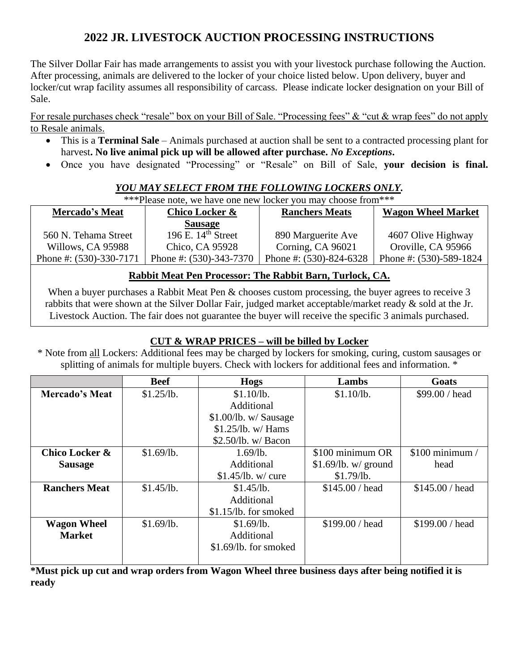# **2022 JR. LIVESTOCK AUCTION PROCESSING INSTRUCTIONS**

The Silver Dollar Fair has made arrangements to assist you with your livestock purchase following the Auction. After processing, animals are delivered to the locker of your choice listed below. Upon delivery, buyer and locker/cut wrap facility assumes all responsibility of carcass. Please indicate locker designation on your Bill of Sale.

For resale purchases check "resale" box on your Bill of Sale. "Processing fees" & "cut & wrap fees" do not apply to Resale animals.

- This is a **Terminal Sale** Animals purchased at auction shall be sent to a contracted processing plant for harvest**. No live animal pick up will be allowed after purchase.** *No Exceptions***.**
- Once you have designated "Processing" or "Resale" on Bill of Sale, **your decision is final.**

### *YOU MAY SELECT FROM THE FOLLOWING LOCKERS ONLY.*

| ***Please note, we have one new locker you may choose from*** |                            |                            |                           |  |  |
|---------------------------------------------------------------|----------------------------|----------------------------|---------------------------|--|--|
| <b>Mercado's Meat</b>                                         | Chico Locker &             | <b>Ranchers Meats</b>      | <b>Wagon Wheel Market</b> |  |  |
|                                                               | <b>Sausage</b>             |                            |                           |  |  |
| 560 N. Tehama Street                                          | 196 E. $14th$ Street       | 890 Marguerite Ave         | 4607 Olive Highway        |  |  |
| Willows, CA 95988                                             | Chico, CA 95928            | Corning, CA 96021          | Oroville, CA 95966        |  |  |
| Phone #: $(530)$ -330-7171                                    | Phone #: $(530)$ -343-7370 | Phone #: $(530)$ -824-6328 | Phone #: (530)-589-1824   |  |  |

## **Rabbit Meat Pen Processor: The Rabbit Barn, Turlock, CA.**

When a buyer purchases a Rabbit Meat Pen & chooses custom processing, the buyer agrees to receive 3 rabbits that were shown at the Silver Dollar Fair, judged market acceptable/market ready & sold at the Jr. Livestock Auction. The fair does not guarantee the buyer will receive the specific 3 animals purchased.

## **CUT & WRAP PRICES – will be billed by Locker**

\* Note from all Lockers: Additional fees may be charged by lockers for smoking, curing, custom sausages or splitting of animals for multiple buyers. Check with lockers for additional fees and information. \*

|                       | <b>Beef</b> | Hogs                  | Lambs                  | Goats            |
|-----------------------|-------------|-----------------------|------------------------|------------------|
| <b>Mercado's Meat</b> | \$1.25/lb.  | \$1.10/lb.            | \$1.10/lb.             | \$99.00 / head   |
|                       |             | Additional            |                        |                  |
|                       |             | \$1.00/lb. w/ Sausage |                        |                  |
|                       |             | $$1.25$ /lb. w/ Hams  |                        |                  |
|                       |             | \$2.50/lb. w/ Bacon   |                        |                  |
| Chico Locker &        | \$1.69/lb.  | $1.69$ /lb.           | \$100 minimum OR       | $$100$ minimum / |
| <b>Sausage</b>        |             | Additional            | $$1.69$ /lb. w/ ground | head             |
|                       |             | $$1.45$ /lb. w/ cure  | \$1.79/lb.             |                  |
| <b>Ranchers Meat</b>  | \$1.45/lb.  | \$1.45/lb.            | \$145.00 / head        | \$145.00 / head  |
|                       |             | Additional            |                        |                  |
|                       |             | \$1.15/lb. for smoked |                        |                  |
| <b>Wagon Wheel</b>    | \$1.69/lb.  | \$1.69/lb.            | \$199.00 / head        | \$199.00 / head  |
| <b>Market</b>         |             | Additional            |                        |                  |
|                       |             | \$1.69/lb. for smoked |                        |                  |
|                       |             |                       |                        |                  |

**\*Must pick up cut and wrap orders from Wagon Wheel three business days after being notified it is ready**